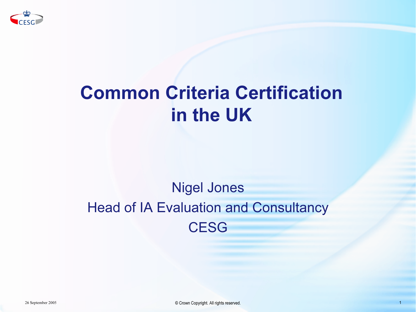

# Common Criteria Certification in the UK

#### Nigel Jones Head of IA Evaluation and Consultancy **CESG**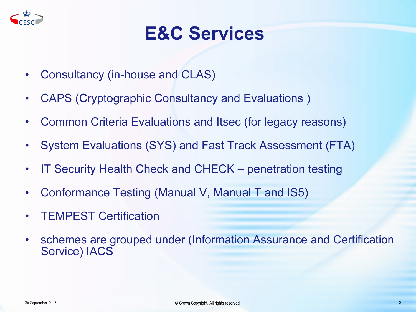

### E&C Services

- $\bullet$ Consultancy (in-house and CLAS)
- $\bullet$ CAPS (Cryptographic Consultancy and Evaluations )
- $\bullet$ Common Criteria Evaluations and Itsec (for legacy reasons)
- $\bullet$ System Evaluations (SYS) and Fast Track Assessment (FTA)
- $\bullet$ IT Security Health Check and CHECK – penetration testing
- $\bullet$ Conformance Testing (Manual V, Manual T and IS5)
- •TEMPEST Certification
- $\bullet$  schemes are grouped under (Information Assurance and Certification Service) IACS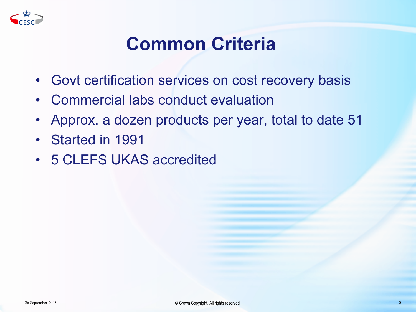

# Common Criteria

- Govt certification services on cost recovery basis
- Commercial labs conduct evaluation
- Approx. a dozen products per year, total to date 51
- Started in 1991
- 5 CLEFS UKAS accredited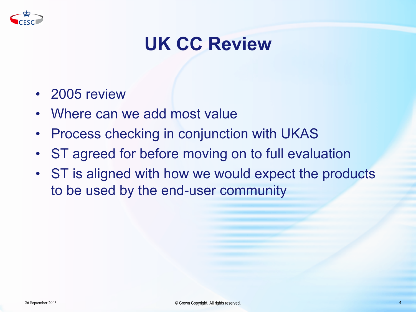

# UK CC Review

- 2005 review
- Where can we add most value
- Process checking in conjunction with UKAS
- ST agreed for before moving on to full evaluation
- ST is aligned with how we would expect the products to be used by the end-user community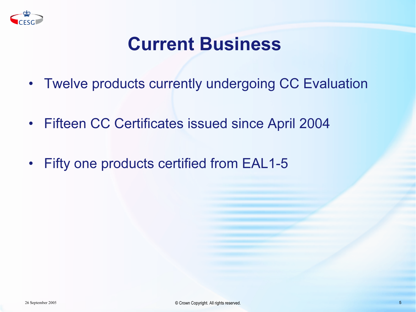

### Current Business

- Twelve products currently undergoing CC Evaluation
- Fifteen CC Certificates issued since April 2004
- Fifty one products certified from EAL1-5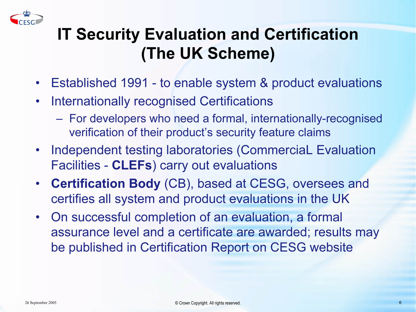

#### IT Security Evaluation and Certification (The UK Scheme)

- $\bullet$ Established 1991 - to enable system & product evaluations
- $\bullet$  Internationally recognised Certifications
	- For developers who need a formal, internationally-recognised verification of their product's security feature claims
- Independent testing laboratories (CommerciaL Evaluation Facilities - CLEFs) carry out evaluations
- Certification Body (CB), based at CESG, oversees and certifies all system and product evaluations in the UK
- On successful completion of an evaluation, a formal assurance level and a certificate are awarded; results may be published in Certification Report on CESG website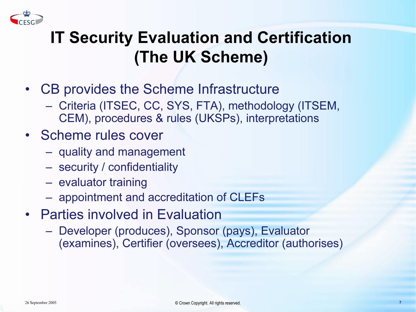

#### IT Security Evaluation and Certification (The UK Scheme)

- CB provides the Scheme Infrastructure
	- Criteria (ITSEC, CC, SYS, FTA), methodology (ITSEM, CEM), procedures & rules (UKSPs), interpretations
- Scheme rules cover
	- quality and management
	- security / confidentiality
	- evaluator training
	- appointment and accreditation of CLEFs
- Parties involved in Evaluation
	- Developer (produces), Sponsor (pays), Evaluator (examines), Certifier (oversees), Accreditor (authorises)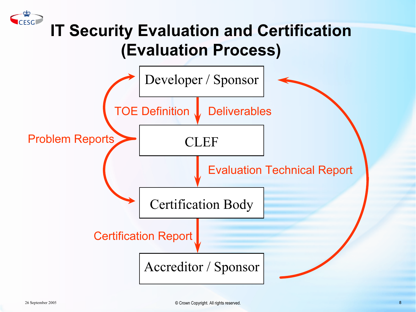